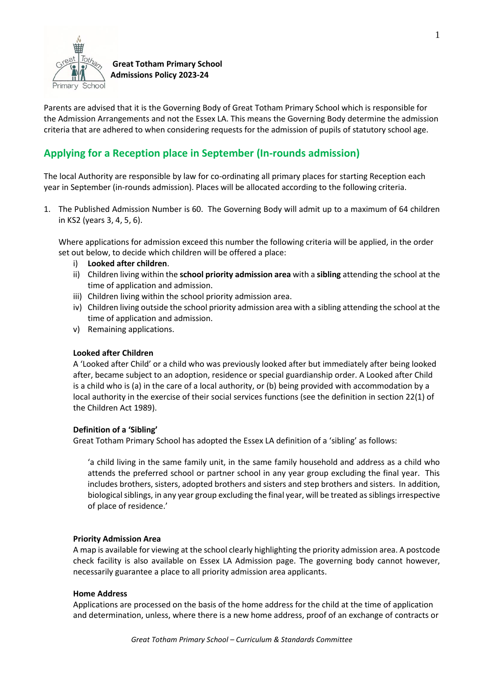

 **Great Totham Primary School Admissions Policy 2023-24**

Parents are advised that it is the Governing Body of Great Totham Primary School which is responsible for the Admission Arrangements and not the Essex LA. This means the Governing Body determine the admission criteria that are adhered to when considering requests for the admission of pupils of statutory school age.

# **Applying for a Reception place in September (In-rounds admission)**

The local Authority are responsible by law for co-ordinating all primary places for starting Reception each year in September (in-rounds admission). Places will be allocated according to the following criteria.

1. The Published Admission Number is 60. The Governing Body will admit up to a maximum of 64 children in KS2 (years 3, 4, 5, 6).

Where applications for admission exceed this number the following criteria will be applied, in the order set out below, to decide which children will be offered a place:

- i) **Looked after children**.
- ii) Children living within the **school priority admission area** with a **sibling** attending the school at the time of application and admission.
- iii) Children living within the school priority admission area.
- iv) Children living outside the school priority admission area with a sibling attending the school at the time of application and admission.
- v) Remaining applications.

# **Looked after Children**

A 'Looked after Child' or a child who was previously looked after but immediately after being looked after, became subject to an adoption, residence or special guardianship order. A Looked after Child is a child who is (a) in the care of a local authority, or (b) being provided with accommodation by a local authority in the exercise of their social services functions (see the definition in section 22(1) of the Children Act 1989).

# **Definition of a 'Sibling'**

Great Totham Primary School has adopted the Essex LA definition of a 'sibling' as follows:

'a child living in the same family unit, in the same family household and address as a child who attends the preferred school or partner school in any year group excluding the final year. This includes brothers, sisters, adopted brothers and sisters and step brothers and sisters. In addition, biological siblings, in any year group excluding the final year, will be treated as siblings irrespective of place of residence.'

# **Priority Admission Area**

A map is available for viewing at the school clearly highlighting the priority admission area. A postcode check facility is also available on Essex LA Admission page. The governing body cannot however, necessarily guarantee a place to all priority admission area applicants.

# **Home Address**

Applications are processed on the basis of the home address for the child at the time of application and determination, unless, where there is a new home address, proof of an exchange of contracts or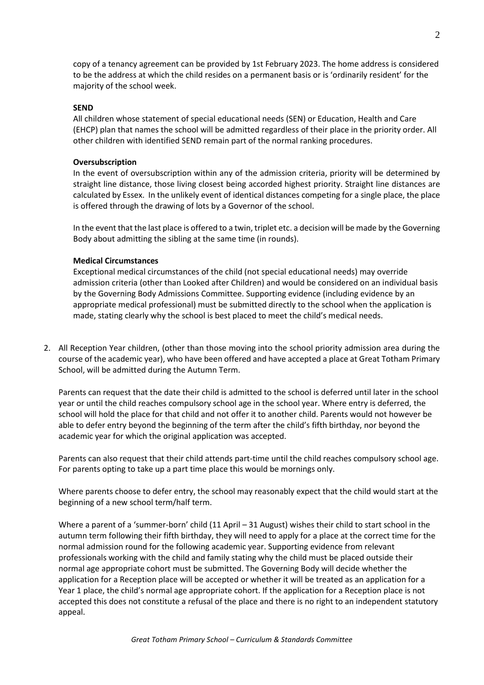copy of a tenancy agreement can be provided by 1st February 2023. The home address is considered to be the address at which the child resides on a permanent basis or is 'ordinarily resident' for the majority of the school week.

#### **SEND**

All children whose statement of special educational needs (SEN) or Education, Health and Care (EHCP) plan that names the school will be admitted regardless of their place in the priority order. All other children with identified SEND remain part of the normal ranking procedures.

#### **Oversubscription**

In the event of oversubscription within any of the admission criteria, priority will be determined by straight line distance, those living closest being accorded highest priority. Straight line distances are calculated by Essex. In the unlikely event of identical distances competing for a single place, the place is offered through the drawing of lots by a Governor of the school.

In the event that the last place is offered to a twin, triplet etc. a decision will be made by the Governing Body about admitting the sibling at the same time (in rounds).

#### **Medical Circumstances**

Exceptional medical circumstances of the child (not special educational needs) may override admission criteria (other than Looked after Children) and would be considered on an individual basis by the Governing Body Admissions Committee. Supporting evidence (including evidence by an appropriate medical professional) must be submitted directly to the school when the application is made, stating clearly why the school is best placed to meet the child's medical needs.

2. All Reception Year children, (other than those moving into the school priority admission area during the course of the academic year), who have been offered and have accepted a place at Great Totham Primary School, will be admitted during the Autumn Term.

Parents can request that the date their child is admitted to the school is deferred until later in the school year or until the child reaches compulsory school age in the school year. Where entry is deferred, the school will hold the place for that child and not offer it to another child. Parents would not however be able to defer entry beyond the beginning of the term after the child's fifth birthday, nor beyond the academic year for which the original application was accepted.

Parents can also request that their child attends part-time until the child reaches compulsory school age. For parents opting to take up a part time place this would be mornings only.

Where parents choose to defer entry, the school may reasonably expect that the child would start at the beginning of a new school term/half term.

Where a parent of a 'summer-born' child (11 April – 31 August) wishes their child to start school in the autumn term following their fifth birthday, they will need to apply for a place at the correct time for the normal admission round for the following academic year. Supporting evidence from relevant professionals working with the child and family stating why the child must be placed outside their normal age appropriate cohort must be submitted. The Governing Body will decide whether the application for a Reception place will be accepted or whether it will be treated as an application for a Year 1 place, the child's normal age appropriate cohort. If the application for a Reception place is not accepted this does not constitute a refusal of the place and there is no right to an independent statutory appeal.